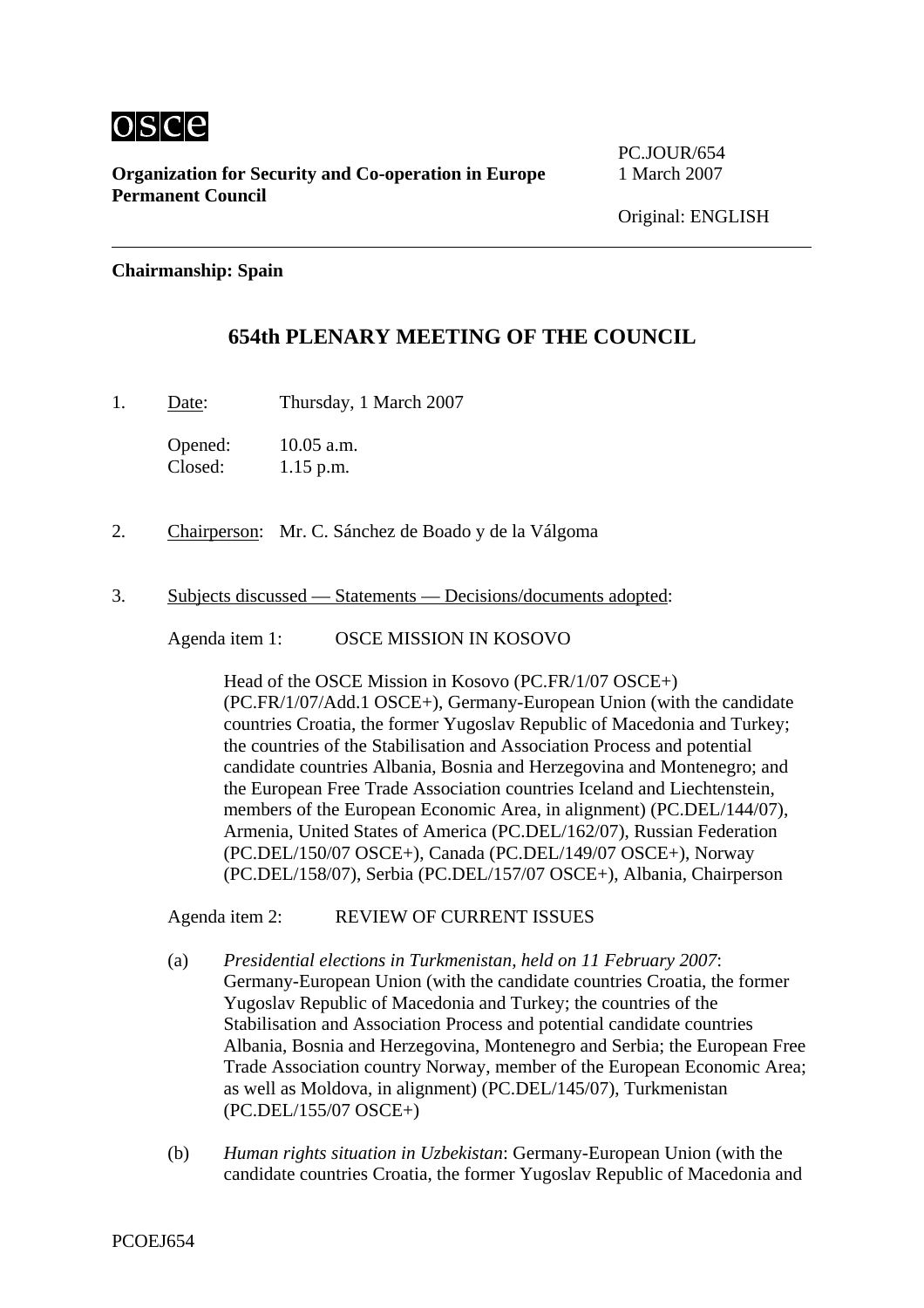

**Organization for Security and Co-operation in Europe** 1 March 2007 **Permanent Council** 

PC.JOUR/654

## **Chairmanship: Spain**

## **654th PLENARY MEETING OF THE COUNCIL**

1. Date: Thursday, 1 March 2007

Opened: 10.05 a.m. Closed: 1.15 p.m.

- 2. Chairperson: Mr. C. Sánchez de Boado y de la Válgoma
- 3. Subjects discussed Statements Decisions/documents adopted:

Agenda item 1: OSCE MISSION IN KOSOVO

Head of the OSCE Mission in Kosovo (PC.FR/1/07 OSCE+) (PC.FR/1/07/Add.1 OSCE+), Germany-European Union (with the candidate countries Croatia, the former Yugoslav Republic of Macedonia and Turkey; the countries of the Stabilisation and Association Process and potential candidate countries Albania, Bosnia and Herzegovina and Montenegro; and the European Free Trade Association countries Iceland and Liechtenstein, members of the European Economic Area, in alignment) (PC.DEL/144/07), Armenia, United States of America (PC.DEL/162/07), Russian Federation (PC.DEL/150/07 OSCE+), Canada (PC.DEL/149/07 OSCE+), Norway (PC.DEL/158/07), Serbia (PC.DEL/157/07 OSCE+), Albania, Chairperson

Agenda item 2: REVIEW OF CURRENT ISSUES

- (a) *Presidential elections in Turkmenistan, held on 11 February 2007*: Germany-European Union (with the candidate countries Croatia, the former Yugoslav Republic of Macedonia and Turkey; the countries of the Stabilisation and Association Process and potential candidate countries Albania, Bosnia and Herzegovina, Montenegro and Serbia; the European Free Trade Association country Norway, member of the European Economic Area; as well as Moldova, in alignment) (PC.DEL/145/07), Turkmenistan (PC.DEL/155/07 OSCE+)
- (b) *Human rights situation in Uzbekistan*: Germany-European Union (with the candidate countries Croatia, the former Yugoslav Republic of Macedonia and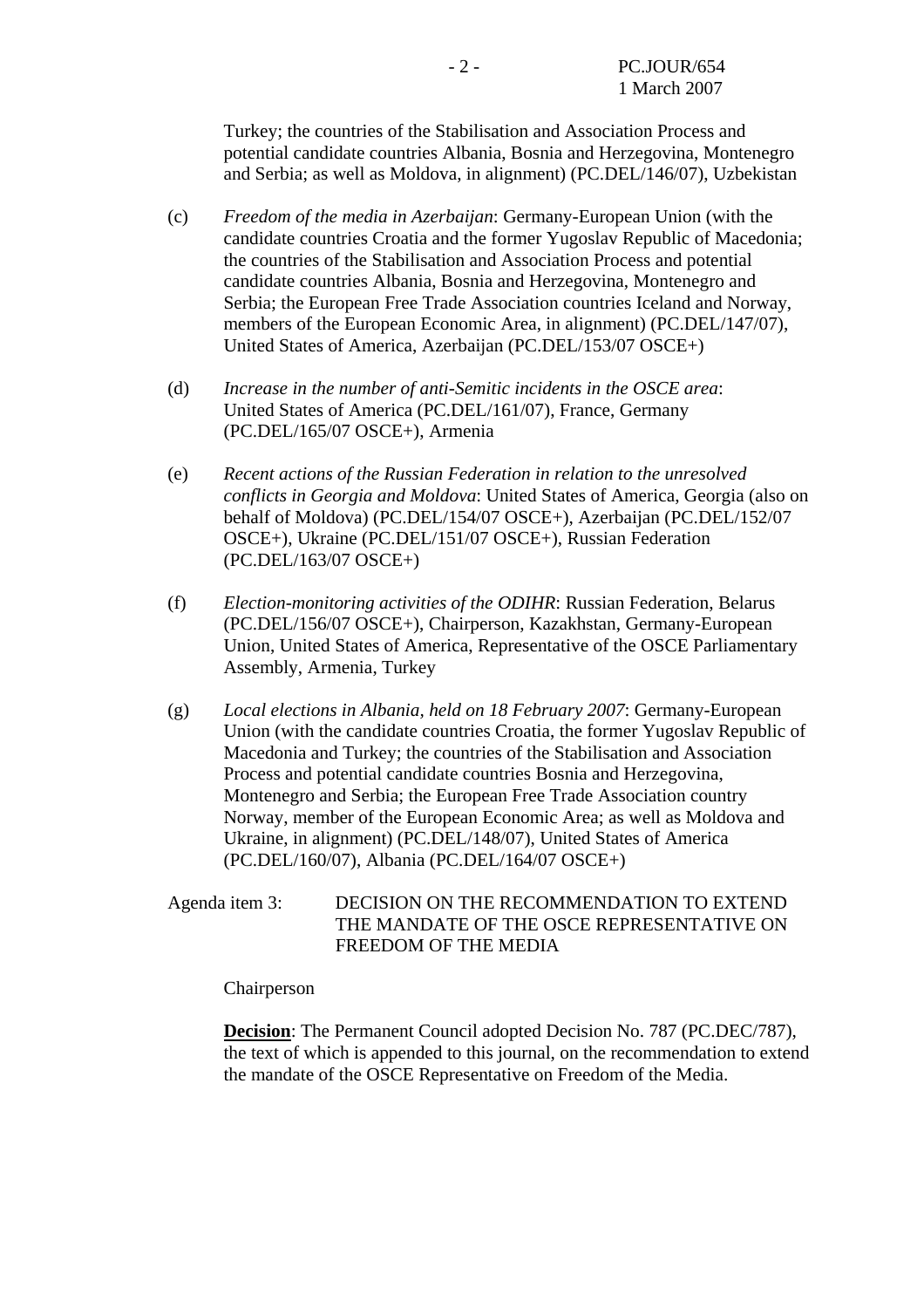Turkey; the countries of the Stabilisation and Association Process and potential candidate countries Albania, Bosnia and Herzegovina, Montenegro and Serbia; as well as Moldova, in alignment) (PC.DEL/146/07), Uzbekistan

- (c) *Freedom of the media in Azerbaijan*: Germany-European Union (with the candidate countries Croatia and the former Yugoslav Republic of Macedonia; the countries of the Stabilisation and Association Process and potential candidate countries Albania, Bosnia and Herzegovina, Montenegro and Serbia; the European Free Trade Association countries Iceland and Norway, members of the European Economic Area, in alignment) (PC.DEL/147/07), United States of America, Azerbaijan (PC.DEL/153/07 OSCE+)
- (d) *Increase in the number of anti-Semitic incidents in the OSCE area*: United States of America (PC.DEL/161/07), France, Germany (PC.DEL/165/07 OSCE+), Armenia
- (e) *Recent actions of the Russian Federation in relation to the unresolved conflicts in Georgia and Moldova*: United States of America, Georgia (also on behalf of Moldova) (PC.DEL/154/07 OSCE+), Azerbaijan (PC.DEL/152/07 OSCE+), Ukraine (PC.DEL/151/07 OSCE+), Russian Federation (PC.DEL/163/07 OSCE+)
- (f) *Election-monitoring activities of the ODIHR*: Russian Federation, Belarus (PC.DEL/156/07 OSCE+), Chairperson, Kazakhstan, Germany-European Union, United States of America, Representative of the OSCE Parliamentary Assembly, Armenia, Turkey
- (g) *Local elections in Albania, held on 18 February 2007*: Germany-European Union (with the candidate countries Croatia, the former Yugoslav Republic of Macedonia and Turkey; the countries of the Stabilisation and Association Process and potential candidate countries Bosnia and Herzegovina, Montenegro and Serbia; the European Free Trade Association country Norway, member of the European Economic Area; as well as Moldova and Ukraine, in alignment) (PC.DEL/148/07), United States of America (PC.DEL/160/07), Albania (PC.DEL/164/07 OSCE+)
- Agenda item 3: DECISION ON THE RECOMMENDATION TO EXTEND THE MANDATE OF THE OSCE REPRESENTATIVE ON FREEDOM OF THE MEDIA

Chairperson

**Decision**: The Permanent Council adopted Decision No. 787 (PC.DEC/787), the text of which is appended to this journal, on the recommendation to extend the mandate of the OSCE Representative on Freedom of the Media.